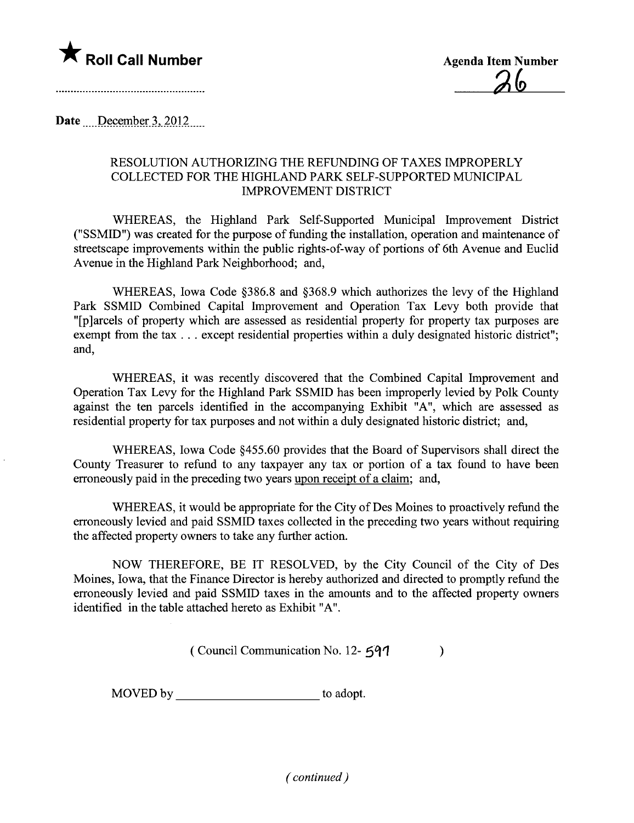

Date  $\lnot$  December 3, 2012

## RESOLUTION AUTHORIZING THE REFUNDING OF TAXES IMPROPERLY COLLECTED FOR THE HIGHLAND PARK SELF-SUPPORTED MUNICIPAL IMPROVEMENT DISTRICT

WHEREAS, the Highland Park Self-Supported Municipal Improvement District ("SSMID") was created for the purpose of funding the installation, operation and maintenance of streetscape improvements within the public rights-of-way of portions of 6th Avenue and Euclid Avenue in the Highland Park Neighborhood; and,

WHEREAS, Iowa Code §386.8 and §368.9 which authorizes the levy of the Highland Park SSMID Combined Capital Improvement and Operation Tax Levy both provide that "[p]arcels of property which are assessed as residential property for property tax purposes are exempt from the tax... except residential properties within a duly designated historic district"; and,

WHEREAS, it was recently discovered that the Combined Capital Improvement and Operation Tax Levy for the Highland Park SSMID has been improperly levied by Polk County against the ten parcels identified in the accompanying Exhibit "A", which are assessed as residential property for tax purposes and not within a duly designated historic district; and,

WHEREAS, Iowa Code §455.60 provides that the Board of Supervisors shall direct the County Treasurer to refund to any taxpayer any tax or portion of a tax found to have been erroneously paid in the preceding two years upon receipt of a claim; and,

WHEREAS, it would be appropriate for the City of Des Moines to proactively refund the erroneously levied and paid SSMID taxes collected in the preceding two years without requiring the affected property owners to take any further action.

NOW THEREFORE, BE IT RESOLVED, by the City Council of the City of Des Moines, Iowa, that the Finance Director is hereby authorized and directed to promptly refund the erroneously levied and paid SSMID taxes in the amounts and to the affected property owners identified in the table attached hereto as Exhibit "A".

 $($  Council Communication No. 12- $597$  )

MOVED by to adopt.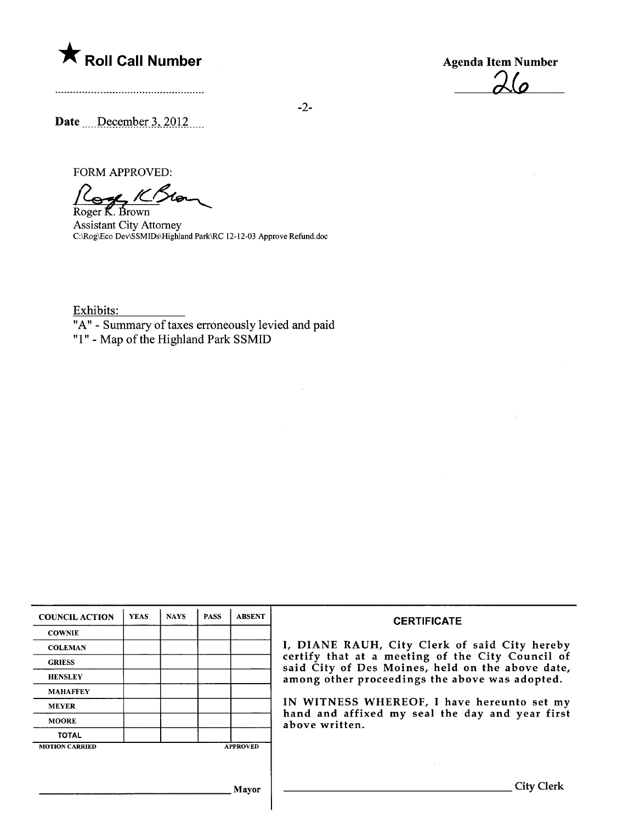

 $\Delta\omega$ 

Date  $\_\$ December 3, 2012....

FORM APPROVED:

Roger K. Brown

Assistant City Attorney<br>C:\Rog\Eco Dev\SSMIDs\Highland Park\RC 12-12-03 Approve Refund.doc

Exhibits:

"A" - Summary of taxes erroneously levied and paid

"1" - Map of the Highland Park SSMID

| <b>COUNCIL ACTION</b> | <b>YEAS</b> | <b>NAYS</b> | <b>PASS</b> | <b>ABSENT</b>   | <b>CERTIFICATE</b>                                                                                                                                     |  |  |  |  |
|-----------------------|-------------|-------------|-------------|-----------------|--------------------------------------------------------------------------------------------------------------------------------------------------------|--|--|--|--|
| <b>COWNIE</b>         |             |             |             |                 |                                                                                                                                                        |  |  |  |  |
| <b>COLEMAN</b>        |             |             |             |                 | I, DIANE RAUH, City Clerk of said City hereby                                                                                                          |  |  |  |  |
| <b>GRIESS</b>         |             |             |             |                 | certify that at a meeting of the City Council of<br>said City of Des Moines, held on the above date,<br>among other proceedings the above was adopted. |  |  |  |  |
| <b>HENSLEY</b>        |             |             |             |                 |                                                                                                                                                        |  |  |  |  |
| <b>MAHAFFEY</b>       |             |             |             |                 |                                                                                                                                                        |  |  |  |  |
| <b>MEYER</b>          |             |             |             |                 | IN WITNESS WHEREOF, I have hereunto set my                                                                                                             |  |  |  |  |
| <b>MOORE</b>          |             |             |             |                 | hand and affixed my seal the day and year first<br>above written.                                                                                      |  |  |  |  |
| <b>TOTAL</b>          |             |             |             |                 |                                                                                                                                                        |  |  |  |  |
| <b>MOTION CARRIED</b> |             |             |             | <b>APPROVED</b> |                                                                                                                                                        |  |  |  |  |
|                       |             |             |             |                 |                                                                                                                                                        |  |  |  |  |
|                       |             |             |             | Mavor           | City Cl                                                                                                                                                |  |  |  |  |

Т

-2-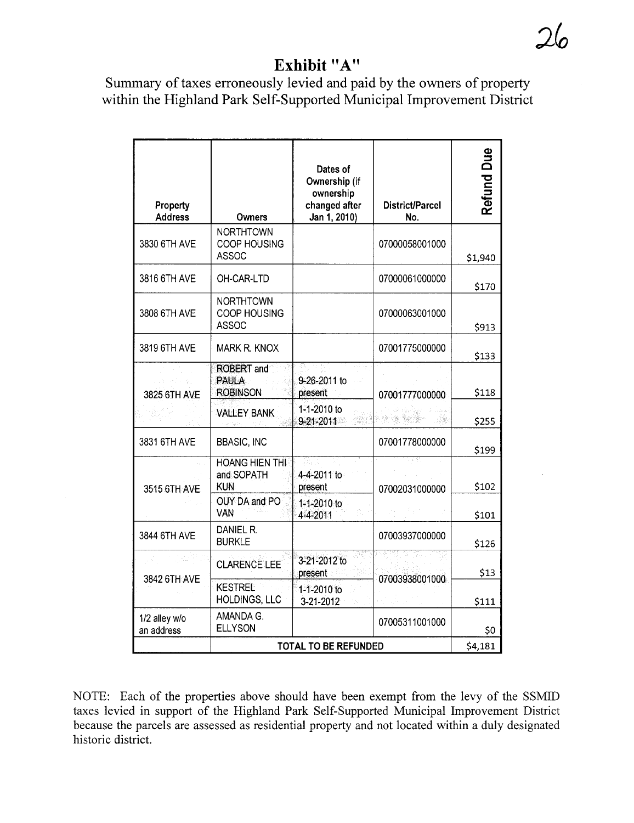## Exhibit "A"

Summary of taxes erroneously levied and paid by the owners of property within the Highland Park Self-Supported Municipal Improvement District

| Property<br><b>Address</b>  | <b>Owners</b>                                        | Dates of<br>Ownership (if<br>ownership<br>changed after<br>Jan 1, 2010) | District/Parcel<br>No. | <b>Refund Due</b> |
|-----------------------------|------------------------------------------------------|-------------------------------------------------------------------------|------------------------|-------------------|
| 3830 6TH AVE                | <b>NORTHTOWN</b><br>COOP HOUSING<br><b>ASSOC</b>     |                                                                         | 07000058001000         | \$1,940           |
| 3816 6TH AVE                | OH-CAR-LTD                                           |                                                                         | 07000061000000         | \$170             |
| 3808 6TH AVE                | <b>NORTHTOWN</b><br>COOP HOUSING<br><b>ASSOC</b>     |                                                                         | 07000063001000         | \$913             |
| 3819 6TH AVE                | Mark R. KNOX                                         |                                                                         | 07001775000000         | \$133             |
| 计算 计综合字段<br>3825 6TH AVE    | <b>ROBERT</b> and<br><b>PAULA</b><br><b>ROBINSON</b> | 9-26-2011 to<br>present                                                 | 07001777000000         | \$118             |
|                             | <b>VALLEY BANK</b>                                   | 1-1-2010 to<br>9-21-2011                                                | ang Grie               | \$255             |
| 3831 6TH AVE                | <b>BBASIC, INC</b>                                   |                                                                         | 07001778000000         | \$199             |
| 3515 6TH AVE                | <b>HOANG HIEN THI</b><br>and SOPATH<br><b>KUN</b>    | 4-4-2011 to<br>present                                                  | 07002031000000         | \$102             |
|                             | OUY DA and PO<br>VAN                                 | 1-1-2010 to<br>4-4-2011                                                 |                        | \$101             |
| 3844 6TH AVE                | DANIEL R.<br><b>BURKLE</b>                           |                                                                         | 07003937000000         | \$126             |
| 3842 6TH AVE                | <b>CLARENCE LEE</b>                                  | 3-21-2012 to<br>present                                                 | 07003938001000         | \$13              |
|                             | <b>KESTREL</b><br>HOLDINGS, LLC                      | 1-1-2010 to<br>3-21-2012                                                |                        | \$111             |
| 1/2 alley w/o<br>an address | AMANDA G.<br><b>ELLYSON</b>                          |                                                                         | 07005311001000         | \$0               |
|                             | <b>TOTAL TO BE REFUNDED</b>                          | \$4,181                                                                 |                        |                   |

NOTE: Each of the properties above should have been exempt from the levy of the SSMID taxes levied in support of the Highland Park Self-Supported Municipal Improvement District because the parcels are assessed as residential property and not located within a duly designated historic district.